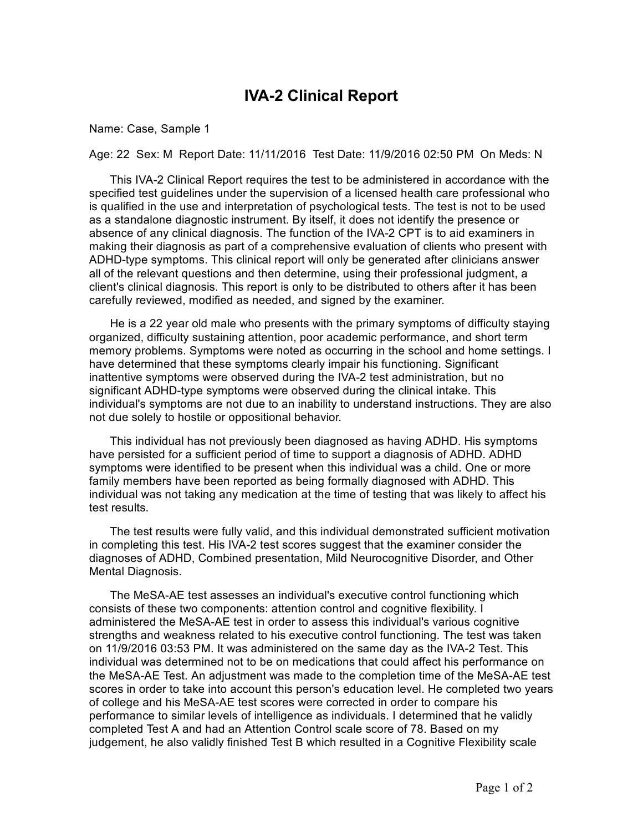## **IVA-2 Clinical Report**

## Name: Case, Sample 1

Age: 22 Sex: M Report Date: 11/11/2016 Test Date: 11/9/2016 02:50 PM On Meds: N

This IVA-2 Clinical Report requires the test to be administered in accordance with the specified test guidelines under the supervision of a licensed health care professional who is qualified in the use and interpretation of psychological tests. The test is not to be used as a standalone diagnostic instrument. By itself, it does not identify the presence or absence of any clinical diagnosis. The function of the IVA-2 CPT is to aid examiners in making their diagnosis as part of a comprehensive evaluation of clients who present with ADHD-type symptoms. This clinical report will only be generated after clinicians answer all of the relevant questions and then determine, using their professional judgment, a client's clinical diagnosis. This report is only to be distributed to others after it has been carefully reviewed, modified as needed, and signed by the examiner.

He is a 22 year old male who presents with the primary symptoms of difficulty staying organized, difficulty sustaining attention, poor academic performance, and short term memory problems. Symptoms were noted as occurring in the school and home settings. I have determined that these symptoms clearly impair his functioning. Significant inattentive symptoms were observed during the IVA-2 test administration, but no significant ADHD-type symptoms were observed during the clinical intake. This individual's symptoms are not due to an inability to understand instructions. They are also not due solely to hostile or oppositional behavior.

This individual has not previously been diagnosed as having ADHD. His symptoms have persisted for a sufficient period of time to support a diagnosis of ADHD. ADHD symptoms were identified to be present when this individual was a child. One or more family members have been reported as being formally diagnosed with ADHD. This individual was not taking any medication at the time of testing that was likely to affect his test results.

The test results were fully valid, and this individual demonstrated sufficient motivation in completing this test. His IVA-2 test scores suggest that the examiner consider the diagnoses of ADHD, Combined presentation, Mild Neurocognitive Disorder, and Other Mental Diagnosis.

The MeSA-AE test assesses an individual's executive control functioning which consists of these two components: attention control and cognitive flexibility. I administered the MeSA-AE test in order to assess this individual's various cognitive strengths and weakness related to his executive control functioning. The test was taken on 11/9/2016 03:53 PM. It was administered on the same day as the IVA-2 Test. This individual was determined not to be on medications that could affect his performance on the MeSA-AE Test. An adjustment was made to the completion time of the MeSA-AE test scores in order to take into account this person's education level. He completed two years of college and his MeSA-AE test scores were corrected in order to compare his performance to similar levels of intelligence as individuals. I determined that he validly completed Test A and had an Attention Control scale score of 78. Based on my judgement, he also validly finished Test B which resulted in a Cognitive Flexibility scale